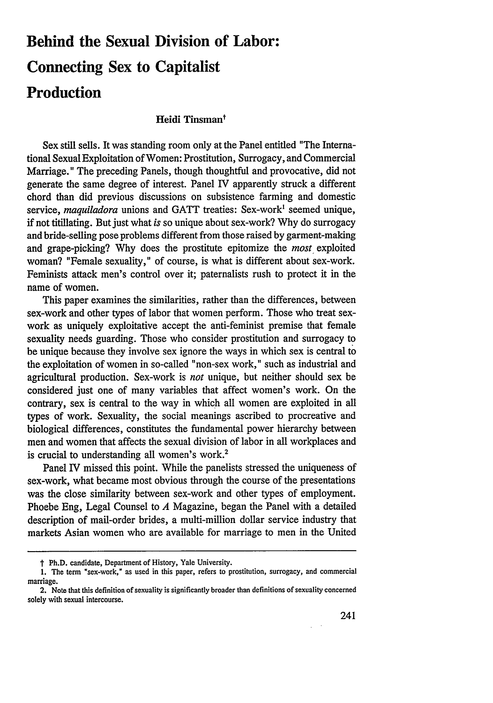# **Behind the Sexual Division of Labor: Connecting Sex to Capitalist Production**

## Heidi Tinsman<sup>t</sup>

Sex still sells. It was standing room only at the Panel entitled "The International Sexual Exploitation of Women: Prostitution, Surrogacy, and Commercial Marriage." The preceding Panels, though thoughtful and provocative, did not generate the same degree of interest. Panel IV apparently struck a different chord than did previous discussions on subsistence farming and domestic service, *maquiladora* unions and **GATT** treaties: Sex-work' seemed unique, **if** not titillating. But just what *is* so unique about sex-work? **Why** do surrogacy and bride-selling pose problems different from those raised **by** garment-making and grape-picking? **Why** does the prostitute epitomize the *most* exploited woman? "Female sexuality," of course, is what is different about sex-work. Feminists attack men's control over it; paternalists rush to protect it in the name of women.

This paper examines the similarities, rather than the differences, between sex-work and other types of labor that women perform. Those who treat sexwork as uniquely exploitative accept the anti-feminist premise that female sexuality needs guarding. Those who consider prostitution and surrogacy to be unique because they involve sex ignore the ways in which sex is central to the exploitation of women in so-called "non-sex work," such as industrial and agricultural production. Sex-work is *not* unique, but neither should sex be considered just one of many variables that affect women's work. On the contrary, sex is central to the way in which all women are exploited in all types of work. Sexuality, the social meanings ascribed to procreative and biological differences, constitutes the fundamental power hierarchy between men and women that affects the sexual division of labor in all workplaces and is crucial to understanding all women's work.<sup>2</sup>

Panel IV missed this point. While the panelists stressed the uniqueness of sex-work, what became most obvious through the course of the presentations was the close similarity between sex-work and other types of employment. Phoebe Eng, Legal Counsel to *A* Magazine, began the Panel with a detailed description of mail-order brides, a multi-million dollar service industry that markets Asian women who are available for marriage to men in the United

t Ph.D. candidate, Department of History, Yale University.

<sup>1.</sup> The term "sex-work," as used in this paper, refers to prostitution, surrogacy, and commercial marriage.

<sup>2.</sup> Note that this definition of sexuality is significantly broader than definitions of sexuality concerned solely with sexual intercourse.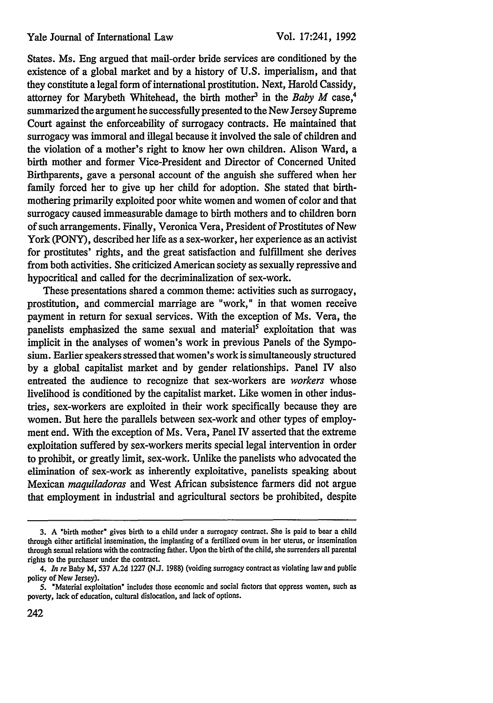States. Ms. Eng argued that mail-order bride services are conditioned by the existence of a global market and by a history of U.S. imperialism, and that they constitute a legal form of international prostitution. Next, Harold Cassidy, attorney for Marybeth Whitehead, the birth mother<sup>3</sup> in the *Baby M* case,<sup>4</sup> summarized the argument he successfully presented to the New Jersey Supreme Court against the enforceability of surrogacy contracts. He maintained that surrogacy was immoral and illegal because it involved the sale of children and the violation of a mother's right to know her own children. Alison Ward, a birth mother and former Vice-President and Director of Concerned United Birthparents, gave a personal account of the anguish she suffered when her family forced her to give up her child for adoption. She stated that birthmothering primarily exploited poor white women and women of color and that surrogacy caused immeasurable damage to birth mothers and to children born of such arrangements. Finally, Veronica Vera, President of Prostitutes of New York (PONY), described her life as a sex-worker, her experience as an activist for prostitutes' rights, and the great satisfaction and fulfillment she derives from both activities. She criticized American society as sexually repressive and hypocritical and called for the decriminalization of sex-work.

These presentations shared a common theme: activities such as surrogacy, prostitution, and commercial marriage are "work," in that women receive payment in return for sexual services. With the exception of Ms. Vera, the panelists emphasized the same sexual and material<sup>5</sup> exploitation that was implicit in the analyses of women's work in previous Panels of the Symposium. Earlier speakers stressed that women's work is simultaneously structured by a global capitalist market and by gender relationships. Panel IV also entreated the audience to recognize that sex-workers are *workers* whose livelihood is conditioned by the capitalist market. Like women in other industries, sex-workers are exploited in their work specifically because they are women. But here the parallels between sex-work and other types of employment end. With the exception of Ms. Vera, Panel IV asserted that the extreme exploitation suffered by sex-workers merits special legal intervention in order to prohibit, or greatly limit, sex-work. Unlike the panelists who advocated the elimination of sex-work as inherently exploitative, panelists speaking about Mexican *maquiladoras* and West African subsistence farmers did not argue that employment in industrial and agricultural sectors be prohibited, despite

**<sup>3.</sup> A** "birth mother" gives birth to a child under a surrogacy contract. She is paid to bear a child through either artificial insemination, the implanting of a fertilized ovum in her uterus, or insemination through sexual relations with the contracting father. Upon the birth of the child, she surrenders all parental rights to the purchaser under the contract.

*<sup>4.</sup> In re* Baby M, 537 A.2d 1227 (N.J. 1988) (voiding surrogacy contract as violating law and public policy of New Jersey).

<sup>5. &</sup>quot;Material exploitation" includes those economic and social factors that oppress women, such as poverty, lack of education, cultural dislocation, and lack of options.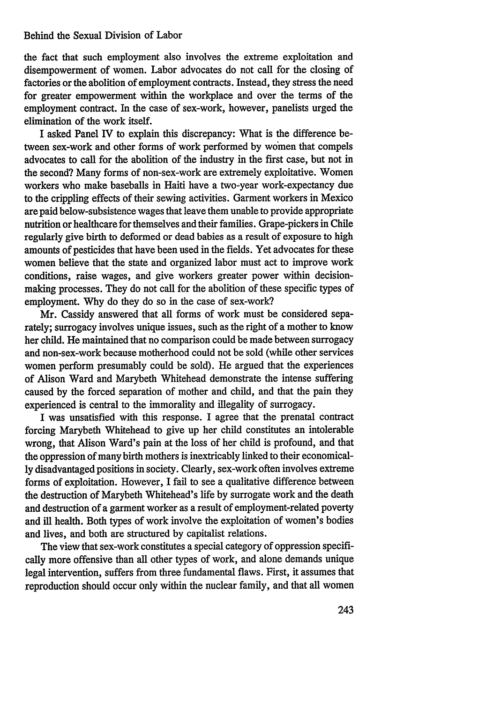#### Behind the Sexual Division of Labor

the fact that such employment also involves the extreme exploitation and disempowerment of women. Labor advocates do not call for the closing of factories or the abolition of employment contracts. Instead, they stress the need for greater empowerment within the workplace and over the terms of the employment contract. In the case of sex-work, however, panelists urged the elimination of the work itself.

I asked Panel *IV* to explain this discrepancy: What is the difference between sex-work and other forms of work performed by women that compels advocates to call for the abolition of the industry in the first case, but not in the second? Many forms of non-sex-work are extremely exploitative. Women workers who make baseballs in Haiti have a two-year work-expectancy due to the crippling effects of their sewing activities. Garment workers in Mexico are paid below-subsistence wages that leave them unable to provide appropriate nutrition or healthcare for themselves and their families. Grape-pickers in Chile regularly give birth to deformed or dead babies as a result of exposure to high amounts of pesticides that have been used in the fields. Yet advocates for these women believe that the state and organized labor must act to improve work conditions, raise wages, and give workers greater power within decisionmaking processes. They do not call for the abolition of these specific types of employment. Why do they do so in the case of sex-work?

Mr. Cassidy answered that all forms of work must be considered separately; surrogacy involves unique issues, such as the right of a mother to know her child. He maintained that no comparison could be made between surrogacy and non-sex-work because motherhood could not be sold (while other services women perform presumably could be sold). He argued that the experiences of Alison Ward and Marybeth Whitehead demonstrate the intense suffering caused by the forced separation of mother and child, and that the pain they experienced is central to the immorality and illegality of surrogacy.

I was unsatisfied with this response. I agree that the prenatal contract forcing Marybeth Whitehead to give up her child constitutes an intolerable wrong, that Alison Ward's pain at the loss of her child is profound, and that the oppression of many birth mothers is inextricably linked to their economically disadvantaged positions in society. Clearly, sex-work often involves extreme forms of exploitation. However, I fail to see a qualitative difference between the destruction of Marybeth Whitehead's life by surrogate work and the death and destruction of a garment worker as a result of employment-related poverty and ill health. Both types of work involve the exploitation of women's bodies and lives, and both are structured by capitalist relations.

The view that sex-work constitutes a special category of oppression specifically more offensive than all other types of work, and alone demands unique legal intervention, suffers from three fundamental flaws. First, it assumes that reproduction should occur only within the nuclear family, and that all women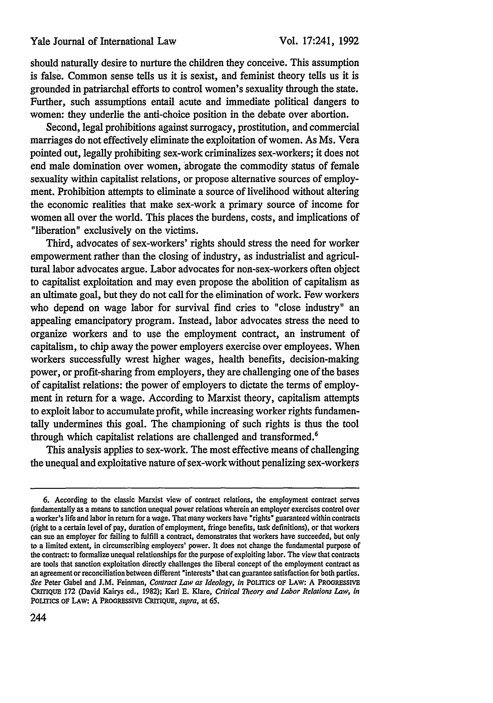should naturally desire to nurture the children they conceive. This assumption is false. Common sense tells us it is sexist, and feminist theory tells us it is grounded in patriarchal efforts to control women's sexuality through the state. Further, such assumptions entail acute and immediate political dangers to women: they underlie the anti-choice position in the debate over abortion.

Second, legal prohibitions against surrogacy, prostitution, and commercial marriages do not effectively eliminate the exploitation of women. As Ms. Vera pointed out, legally prohibiting sex-work criminalizes sex-workers; it does not end male domination over women, abrogate the commodity status of female sexuality within capitalist relations, or propose alternative sources of employment. Prohibition attempts to eliminate a source of livelihood without altering the economic realities that make sex-work a primary source of income for women all over the world. This places the burdens, costs, and implications of "liberation" exclusively on the victims.

Third, advocates of sex-workers' rights should stress the need for worker empowerment rather than the closing of industry, as industrialist and agricultural labor advocates argue. Labor advocates for non-sex-workers often object to capitalist exploitation and may even propose the abolition of capitalism as an ultimate goal, but they do not call for the elimination of work. Few workers who depend on wage labor for survival find cries to "close industry" an appealing emancipatory program. Instead, labor advocates stress the need to organize workers and to use the employment contract, an instrument of capitalism, to chip away the power employers exercise over employees. When workers successfully wrest higher wages, health benefits, decision-making power, or profit-sharing from employers, they are challenging one of the bases of capitalist relations: the power of employers to dictate the terms of employment in return for a wage. According to Marxist theory, capitalism attempts to exploit labor to accumulate profit, while increasing worker rights fundamentally undermines this goal. The championing of such rights is thus the tool through which capitalist relations are challenged and transformed.<sup>6</sup>

This analysis applies to sex-work. The most effective means of challenging the unequal and exploitative nature of sex-work without penalizing sex-workers

**<sup>6.</sup>** According to the classic Marxist view of contract relations, the employment contract serves fundamentally as a means to sanction unequal power relations wherein an employer exercises control over a worker's life and labor in return for a wage. That many workers have "rights" guaranteed within contracts (right to a certain level of pay, duration of employment, fringe benefits, task definitions), or that workers can sue an employer for failing to fulfill a contract, demonstrates that workers have succeeded, but only to a limited extent, in circumscribing employers' power. It does not change the fundamental purpose of the contract: to formalize unequal relationships for the purpose of exploiting labor. The view that contracts are tools that sanction exploitation directly challenges the liberal concept of the employment contract as an agreement or reconciliation between different "interests" that can guarantee satisfaction for both parties. *See* Peter Gabel and J.M. Feinman, *Contract Law as Ideology, in* POLITICS **OF** LAW: A **PROGRESSIVE** CRiTIQUE 172 (David Kairys ed., 1982); Karl **E.** Klare, *Critical Theory and Labor Relations Law, in* POLITICS OF LAW: A **PROGREssIVE** CRITIQUE, *supra,* at 65.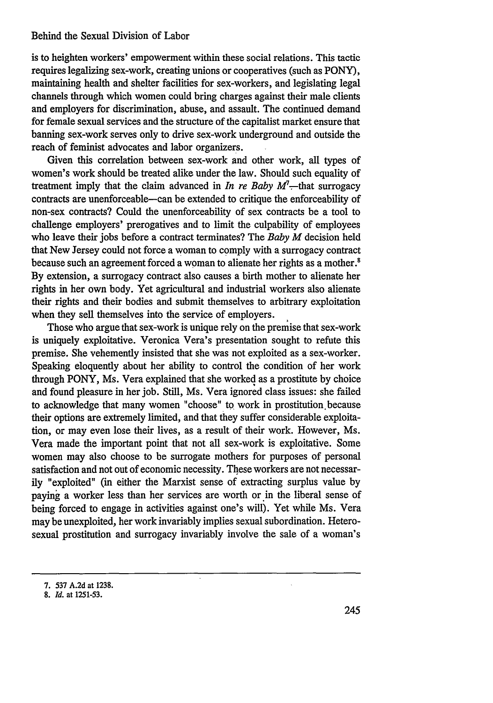#### Behind the Sexual Division of Labor

is to heighten workers' empowerment within these social relations. This tactic requires legalizing sex-work, creating unions or cooperatives (such as PONY), maintaining health and shelter facilities for sex-workers, and legislating legal channels through which women could bring charges against their male clients and employers for discrimination, abuse, and assault. The continued demand for female sexual services and the structure of the capitalist market ensure that banning sex-work serves only to drive sex-work underground and outside the reach of feminist advocates and labor organizers.

Given this correlation between sex-work and other work, all types of women's work should be treated alike under the law. Should such equality of treatment imply that the claim advanced in *In re Baby*  $M^7$ —that surrogacy contracts are unenforceable-can be extended to critique the enforceability of non-sex contracts? Could the unenforceability of sex contracts be a tool to challenge employers' prerogatives and to limit the culpability of employees who leave their jobs before a contract terminates? The *Baby M* decision held that New Jersey could not force a woman to comply with a surrogacy contract because such an agreement forced a woman to alienate her rights as a mother.<sup>8</sup> **By** extension, a surrogacy contract also causes a birth mother to alienate her rights in her own body. Yet agricultural and industrial workers also alienate their rights and their bodies and submit themselves to arbitrary exploitation when they sell themselves into the service of employers.

Those who argue that sex-work is unique rely on the premise that sex-work is uniquely exploitative. Veronica Vera's presentation sought to refute this premise. She vehemently insisted that she was not exploited as a sex-worker. Speaking eloquently about her ability to control the condition of her work through PONY, Ms. Vera explained that she worked as a prostitute by choice and found pleasure in her job. Still, Ms. Vera ignored class issues: she failed to acknowledge that many women "choose" to work in prostitution.because their options are extremely limited, and that they suffer considerable exploitation, or may even lose their lives, as a result of their work. However, Ms. Vera made the important point that not all sex-work is exploitative. Some women may also choose to be surrogate mothers for purposes of personal satisfaction and not out of economic necessity. These workers are not necessarily "exploited" (in either the Marxist sense of extracting surplus value by paying a worker less than her services are worth or in the liberal sense of being forced to engage in activities against one's will). Yet while Ms. Vera may be unexploited, her work invariably implies sexual subordination. Heterosexual prostitution and surrogacy invariably involve the sale of a woman's

<sup>7. 537</sup> A.2d at 1238.

<sup>8.</sup> *Id.* at 1251-53.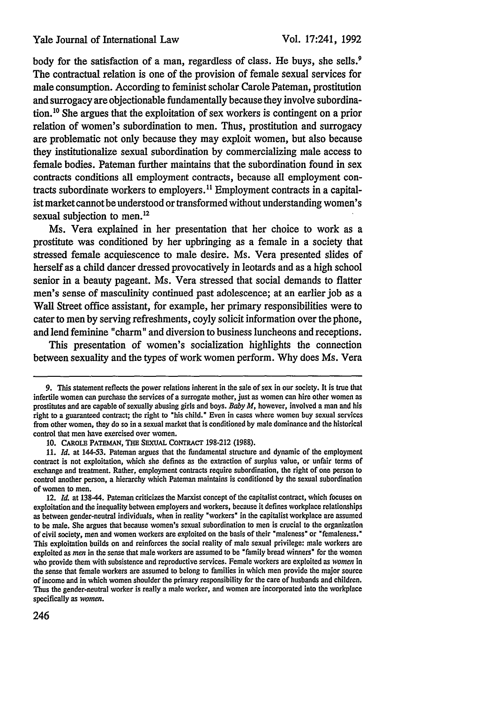body for the satisfaction of a man, regardless of class. He buys, she sells.<sup>9</sup> The contractual relation is one of the provision of female sexual services for male consumption. According to feminist scholar Carole Pateman, prostitution and surrogacy are objectionable fundamentally because they involve subordination.10 She argues that the exploitation of sex workers is contingent on a prior relation of women's subordination to men. Thus, prostitution and surrogacy are problematic not only because they may exploit women, but also because they institutionalize sexual subordination by commercializing male access to female bodies. Pateman further maintains that the subordination found in sex contracts conditions all employment contracts, because all employment contracts subordinate workers to employers.<sup>11</sup> Employment contracts in a capitalist market cannot be understood or transformed without understanding women's sexual subjection to men.<sup>12</sup>

Ms. Vera explained in her presentation that her choice to work as a prostitute was conditioned by her upbringing as a female in a society that stressed female acquiescence to male desire. Ms. Vera presented slides of herself as a child dancer dressed provocatively in leotards and as a high school senior in a beauty pageant. Ms. Vera stressed that social demands to flatter men's sense of masculinity continued past adolescence; at an earlier job as a Wall Street office assistant, for example, her primary responsibilities were to cater to men by serving refreshments, coyly solicit information over the phone, and lend feminine "charm" and diversion to business luncheons and receptions.

This presentation of women's socialization highlights the connection between sexuality and the types of work women perform. Why does Ms. Vera

**<sup>9.</sup>** This statement reflects the power relations inherent in the sale of sex in our society. It is true that infertile women can purchase the services of a surrogate mother, just as women **can** hire other women as prostitutes and are capable of sexually abusing girls and boys. *Baby M,* however, involved a man and his right to a guaranteed contract; the right to "his child." Even in cases where women buy sexual services from other women, they do so in a sexual market that is conditioned **by** male dominance and the historical control that men have exercised over women.

**<sup>10.</sup> CAROLE** PATEMAN, THE SEXUAL **CoNTRAcr 198-212 (1988).**

**<sup>11.</sup>** *Id.* at 144-53. Pateman argues that the fundamental structure and dynamic of the employment contract is not exploitation, which she defines as the extraction of surplus value, or unfair terms of exchange and treatment. Rather, employment contracts require subordination, the right of one person to control another person, a hierarchy which Pateman maintains is conditioned **by** the sexual subordination of women to men.

<sup>12.</sup> *Id.* at 138-44. Pateman criticizes the Marxist concept of the capitalist contract, which focuses on exploitation and the inequality between employers and workers, because it defines workplace relationships as between gender-neutral individuals, when in reality "workers" in the capitalist workplace are assumed to be male. She argues that because women's sexual subordination to men is crucial to the organization of civil society, men and women workers are exploited on the basis of their "maleness" or "femaleness." This exploitation builds on and reinforces the social reality of male sexual privilege: male workers are exploited as *men* in the sense that male workers are assumed to be "family bread winners" for the women who provide them with subsistence and reproductive services. Female workers are exploited as *women* in the sense that female workers are assumed to belong to families in which men provide the major source of income and in which women shoulder the primary responsibility for the care of husbands and children. Thus the gender-neutral worker is really a male worker, and women are incorporated into the workplace specifically as women.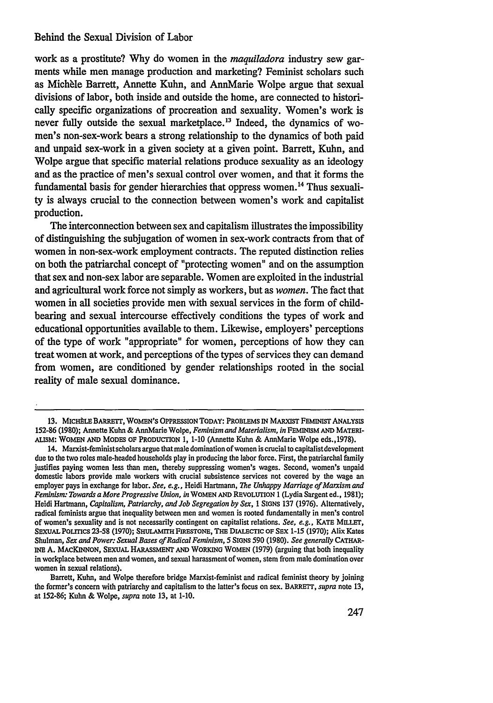### Behind the Sexual Division of Labor

work as a prostitute? **Why** do women in the *maquiladora* industry sew garments while men manage production and marketing? Feminist scholars such as Michèle Barrett, Annette Kuhn, and AnnMarie Wolpe argue that sexual divisions of labor, both inside and outside the home, are connected to historically specific organizations of procreation and sexuality. Women's work is never fully outside the sexual marketplace.13 Indeed, the dynamics of women's non-sex-work bears a strong relationship to the dynamics of both paid and unpaid sex-work in a given society at a given point. Barrett, Kuhn, and Wolpe argue that specific material relations produce sexuality as an ideology and as the practice of men's sexual control over women, and that it forms the fundamental basis for gender hierarchies that oppress women.<sup>14</sup> Thus sexuality is always crucial to the connection between women's work and capitalist production.

The interconnection between sex and capitalism illustrates the impossibility of distinguishing the subjugation of women in sex-work contracts from that of women in non-sex-work employment contracts. The reputed distinction relies on both the patriarchal concept of "protecting women" and on the assumption that sex and non-sex labor are separable. Women are exploited in the industrial and agricultural work force not simply as workers, but as *women.* The fact that women in all societies provide men with sexual services in the form of childbearing and sexual intercourse effectively conditions the types of work and educational opportunities available to them. Likewise, employers' perceptions of the type of work "appropriate" for women, perceptions of how they can treat women at work, and perceptions of the types of services they can demand from women, are conditioned **by** gender relationships rooted in the social reality of male sexual dominance.

<sup>13.</sup> MICHELE BARRETT, WOMEN'S OPPRESSION TODAY: PROBLEMS IN MARXIST FEMINIST ANALYSIS 152-86 **(1980);** Annette Kuhn & AnnMarie Wolpe, *Feminism and Materialism, in* FEMINISM **AND** MATERI-**ALISM:** WOMEN **AND MODES** OF PRODUCTION 1, **1-10** (Annette Kuhn & AnnMarie Wolpe eds.,1978).

<sup>14.</sup> Marxist-feminist scholars argue that male domination of women is crucial to capitalistdevelopment due to the two roles male-headed households play in producing the labor force. First, the patriarchal family justifies paying women less **than** men, thereby suppressing women's wages. Second, women's unpaid domestic labors provide male workers with crucial subsistence services **not** covered **by** the wage an employer pays in exchange for labor. *See, e.g.,* Heidi Hartmann, *The Unhappy Marriage of Marxism and Feminism: Towards a More Progressive Union, in* **WOMEN AND** REVOLUTION 1 (Lydia Sargent ed., **1981);** Heidi Hartmann, *Capitalism, Patriarchy, and Job Segregation by Sex, 1* SIGNS **137 (1976).** Alternatively, radical feminists argue that inequality between men and women is rooted fundamentally in men's control of women's sexuality and is not necessarily contingent on capitalist relations. *See, e.g.,* KATE **MILLET,** SEXUAL POLmCS **23-58 (1970); SHULAMrTH** FIRESTONE, THE **DIALECTIC OF SEX 1-15 (1970);** Alix Kates Shulman, *Sex and Power: Sexual Bases of Radical Feminism,* **5** SIGNS **590 (1980).** *See generally* **CATHAR**iNE **A.** MACKINNON, SEXUAL HARASSMENT **AND** WORKING WOMEN **(1979)** (arguing that both inequality in workplace between men and women, and sexual harassment of women, stem from male domination over women in sexual relations).

Barrett, Kuhn, and Wolpe therefore bridge Marxist-feminist and radical feminist theory **by** joining the former's concern with patriarchy and capitalism to the latter's focus on sex. **BARRETT,** *supra* note **13,** at **152-86;** Kuhn **&** Wolpe, *supra* note **13,** at **1-10.**